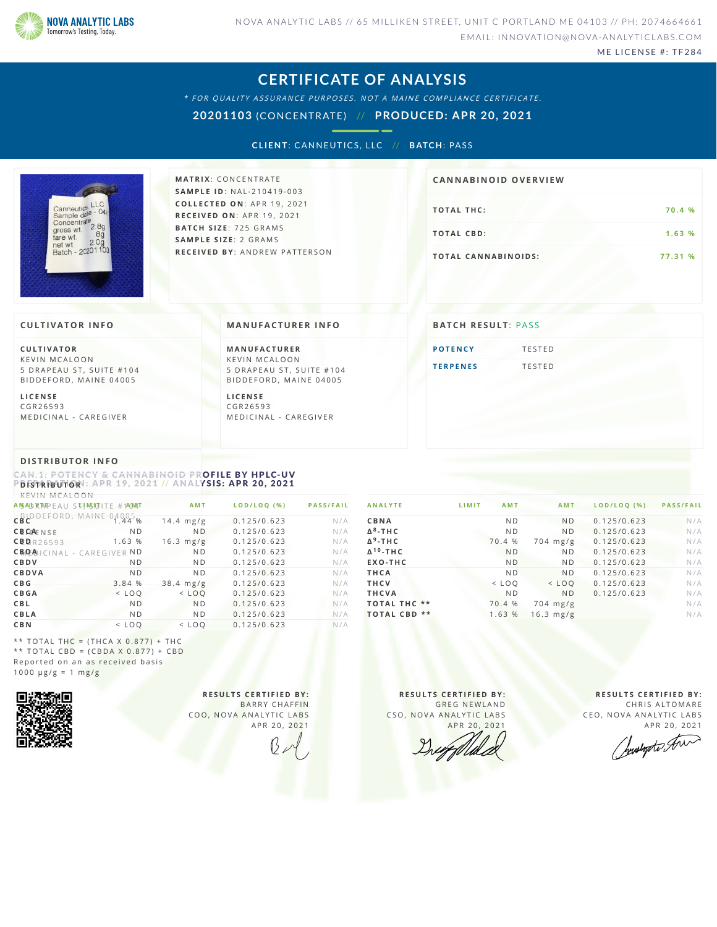

ME LICENSE #: TF284

### **CERTIFICATE OF ANALYSIS**

\* FOR QUALITY ASSURANCE PURPOSES. NOT A MAINE COMPLIANCE CERTIFICATE.

**20201103** (CONCENTRATE) // **PRODUCED: APR 20, 2021**

**CLIENT: CANNEUTICS, LLC // BATCH: PASS** 



**M AT R I X** :C O N C E N T R A T E **SA M P L E I D** :N A L - 2 1 0 4 1 9 - 0 0 3 **C O L L E C T E D O N** :A P R 1 9 ,2 0 2 1 **R E C E I V E D O N** : A P R 1 9 ,2 0 2 1 **BAT C H S I Z E** : 7 2 5 G R A M S **SA M P L E S I Z E** : 2 G R A M S **R E C E I V E D BY** : A N D R E W P A T T E R S O N

# **T O TAL T H C :7 0 . 4 % T O TAL CB D :1 . 6 3 % T O TAL CA N N ABI N O I D S : 7 7 . 3 1 % CA N N ABI N OID OVERVI EW**

### **CULTIVATOR I N FO**

**C U L T I VAT O R** K F V IN M CALOON 5 DRAPEAU ST, SUITE #104 BID DEFORD, MAINE 04005

**L I C E N S E** C G R 2 6 5 9 3 MEDICINAL - CAREGIVER

### **MA N UFACTURER I N FO**

**M A N U FAC T U R E R** K F V IN M CALOON 5 DRAPEAU ST, SUITE #104 BID D E FORD, MAINE 04005

**L I C E N S E** C G R 2 6 5 9 3 MEDICINAL - CAREGIVER

## **BATCH RESULT: PASS**

**POTE[N](#page-0-0)CY** TESTED **T E R P E [N](#page-1-0) E S** T E S T E D

### **DI STRIBUTOR I N FO**

<span id="page-0-0"></span>CAN.1: POTENCY & CANNABINOID PROFILE BY HPLC-UV  $P$ *D* **<b>ISTRIBUTOR**<sup>1</sup>: APR 19, 2021 // ANALYSIS: APR 20, 2021

| KEVIN MCALOON                                                                                                                                                                                                |                |                |             |                  |
|--------------------------------------------------------------------------------------------------------------------------------------------------------------------------------------------------------------|----------------|----------------|-------------|------------------|
| ANSAD RAPEAU STIMSUTITE #1AMAT                                                                                                                                                                               |                | <b>AMT</b>     | LODILOQ (%) | <b>PASS/FAIL</b> |
| $CB$ <sup>b</sup> $B$ <sup>b</sup> $B$ <sup>5</sup> $B$ <sup>0</sup> $B$ <sup>5</sup> $B$ <sup>0</sup> $B$ <sup>4</sup> $B$ <sup>4</sup> $B$ <sup>4</sup> $B$ <sup>4</sup> $B$ <sup>4</sup> $B$ <sup>4</sup> |                | $14.4$ mg/g    | 0.125/0.623 | N/A              |
| <b>CBCAENSE</b>                                                                                                                                                                                              | N <sub>D</sub> | N <sub>D</sub> | 0.125/0.623 | N/A              |
| CBBR26593                                                                                                                                                                                                    | 1.63 %         | $16.3$ mg/g    | 0.125/0.623 | N/A              |
| CB <sub>D</sub> <sub>A</sub> <sub>1</sub> CINAL - CAREGIVER ND                                                                                                                                               |                | N <sub>D</sub> | 0.125/0.623 | N/A              |
| CBDV                                                                                                                                                                                                         | N <sub>D</sub> | N <sub>D</sub> | 0.125/0.623 | N/A              |
| CBDVA                                                                                                                                                                                                        | N <sub>D</sub> | N <sub>D</sub> | 0.125/0.623 | N/A              |
| <b>CBG</b>                                                                                                                                                                                                   | 3.84 %         | $38.4$ mg/g    | 0.125/0.623 | N/A              |
| <b>CBGA</b>                                                                                                                                                                                                  | $<$ LOO        | $<$ LOO        | 0.125/0.623 | N/A              |
| <b>CBL</b>                                                                                                                                                                                                   | <b>ND</b>      | N <sub>D</sub> | 0.125/0.623 | N/A              |
| <b>CBLA</b>                                                                                                                                                                                                  | N <sub>D</sub> | N <sub>D</sub> | 0.125/0.623 | N/A              |
| <b>CBN</b>                                                                                                                                                                                                   | $<$ LOO        | $<$ LOO        | 0.125/0.623 | N/A              |

| <b>ANALYTE</b>              | LIMIT<br><b>AMT</b> | <b>AMT</b>     | LOD/LOO (%) | <b>PASS/FAIL</b> |
|-----------------------------|---------------------|----------------|-------------|------------------|
| CBNA                        | N <sub>D</sub>      | <b>ND</b>      | 0.125/0.623 | N/A              |
| $\Delta^8$ -THC             | N <sub>D</sub>      | <b>ND</b>      | 0.125/0.623 | N/A              |
| $\Delta$ <sup>9</sup> -THC  | 70.4 %              | $704$ mg/g     | 0.125/0.623 | N/A              |
| $\Delta$ <sup>10</sup> -THC | <b>ND</b>           | N <sub>D</sub> | 0.125/0.623 | N/A              |
| EXO-THC                     | <b>ND</b>           | N <sub>D</sub> | 0.125/0.623 | N/A              |
| THCA                        | N <sub>D</sub>      | <b>ND</b>      | 0.125/0.623 | N/A              |
| <b>THCV</b>                 | $<$ LOO             | $<$ LOO        | 0.125/0.623 | N/A              |
| <b>THCVA</b>                | N <sub>D</sub>      | <b>ND</b>      | 0.125/0.623 | N/A              |
| <b>TOTAL THC **</b>         | 70.4 %              | $704$ mg/g     |             | N/A              |
| **<br><b>TOTAL CBD</b>      | 1.63 %              | $16.3$ mg/g    |             | N/A              |
|                             |                     |                |             |                  |

\*\* TOTAL THC =  $(THCA X 0.877) + THC$ \*\* TOTAL CBD =  $(CBDA X 0.877) + CBD$ Reported on an as received basis  $1000 \text{ }\mu\text{g/g} = 1 \text{ }\text{mg/g}$ 



**R E S U L T S C E R T I F I E D BY :** BARRY CHAFFIN COO, NOVA ANALYTIC LABS A P R 20, 2021

**R E S U L T S C E R T I F I E D BY :** GREG NEWLAND CSO, NOVA ANALYTIC LABS APR 20, 2021

**R E S U L T S C E R T I F I E D BY :** CHRIS ALTOMARE CEO, NOVA ANALYTIC LABS

APR 20, 2021